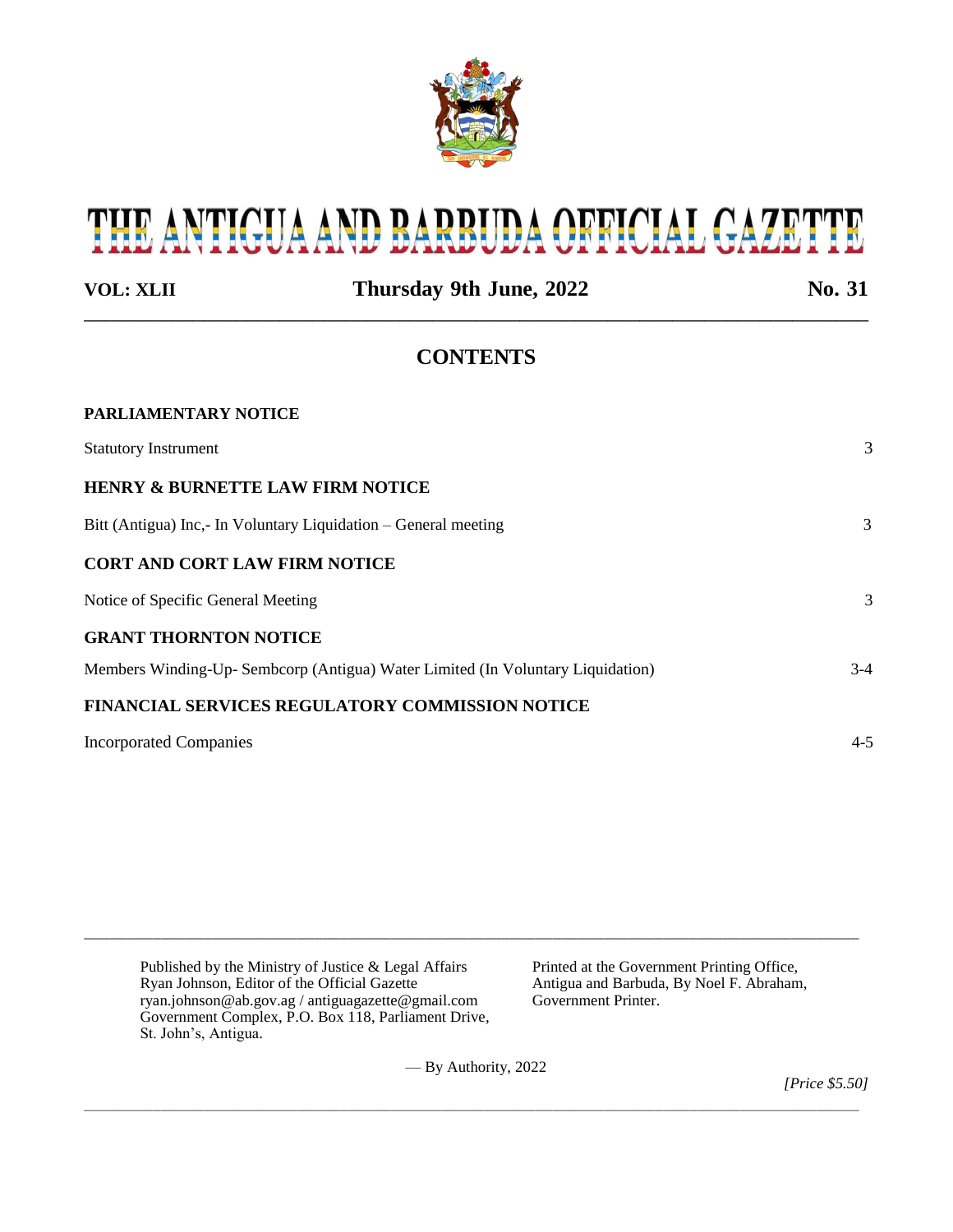

# THE ANTIGUA AND BARBUDA OFFICIAL GAZETTE

**VOL: XLII Thursday 9th June, 2022 No. 31** \_\_\_\_\_\_\_\_\_\_\_\_\_\_\_\_\_\_\_\_\_\_\_\_\_\_\_\_\_\_\_\_\_\_\_\_\_\_\_\_\_\_\_\_\_\_\_\_\_\_\_\_\_\_\_\_\_\_\_\_\_\_\_\_\_\_\_\_\_\_\_\_

# **CONTENTS**

| <b>PARLIAMENTARY NOTICE</b>                                                     |         |
|---------------------------------------------------------------------------------|---------|
| <b>Statutory Instrument</b>                                                     | 3       |
| <b>HENRY &amp; BURNETTE LAW FIRM NOTICE</b>                                     |         |
| Bitt (Antigua) Inc,- In Voluntary Liquidation – General meeting                 | 3       |
| <b>CORT AND CORT LAW FIRM NOTICE</b>                                            |         |
| Notice of Specific General Meeting                                              | 3       |
| <b>GRANT THORNTON NOTICE</b>                                                    |         |
| Members Winding-Up- Sembcorp (Antigua) Water Limited (In Voluntary Liquidation) | $3-4$   |
| <b>FINANCIAL SERVICES REGULATORY COMMISSION NOTICE</b>                          |         |
| <b>Incorporated Companies</b>                                                   | $4 - 5$ |

| Published by the Ministry of Justice $\&$ Legal Affairs<br>Ryan Johnson, Editor of the Official Gazette<br>ryan.johnson@ab.gov.ag / antiguagazette@gmail.com<br>Government Complex, P.O. Box 118, Parliament Drive,<br>St. John's, Antigua. | Printed at the Government Printing Office,<br>Antigua and Barbuda, By Noel F. Abraham,<br>Government Printer. |
|---------------------------------------------------------------------------------------------------------------------------------------------------------------------------------------------------------------------------------------------|---------------------------------------------------------------------------------------------------------------|
|---------------------------------------------------------------------------------------------------------------------------------------------------------------------------------------------------------------------------------------------|---------------------------------------------------------------------------------------------------------------|

\_\_\_\_\_\_\_\_\_\_\_\_\_\_\_\_\_\_\_\_\_\_\_\_\_\_\_\_\_\_\_\_\_\_\_\_\_\_\_\_\_\_\_\_\_\_\_\_\_\_\_\_\_\_\_\_\_\_\_\_\_\_\_\_\_\_\_\_\_\_\_\_\_\_\_\_\_\_\_\_\_\_\_\_\_\_\_\_\_\_\_

— By Authority, 2022

\_\_\_\_\_\_\_\_\_\_\_\_\_\_\_\_\_\_\_\_\_\_\_\_\_\_\_\_\_\_\_\_\_\_\_\_\_\_\_\_\_\_\_\_\_\_\_\_\_\_\_\_\_\_\_\_\_\_\_\_\_\_\_\_\_\_\_\_\_\_\_\_\_\_\_\_\_\_\_\_\_\_\_\_\_\_\_\_\_\_\_

*[Price \$5.50]*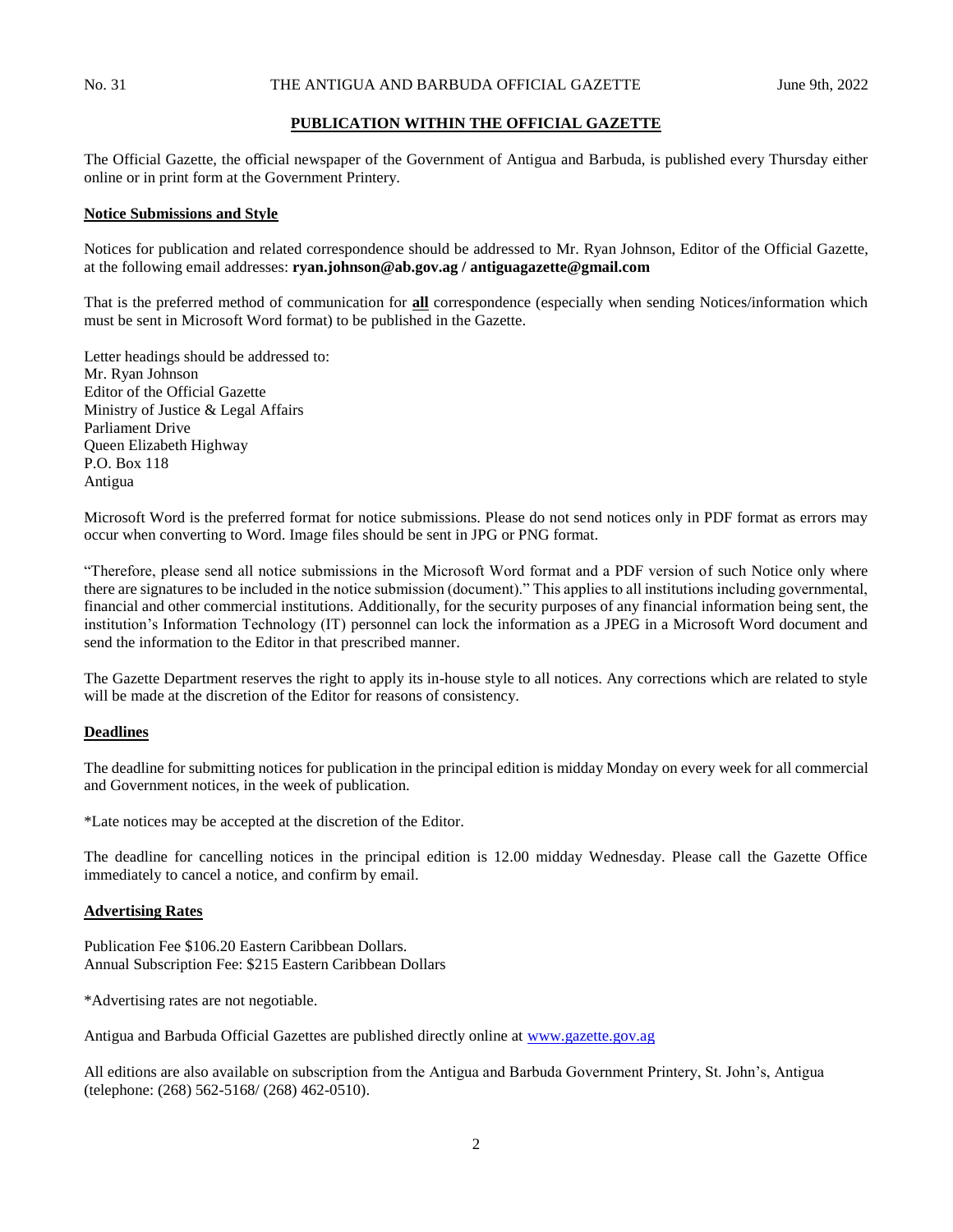#### **PUBLICATION WITHIN THE OFFICIAL GAZETTE**

The Official Gazette, the official newspaper of the Government of Antigua and Barbuda, is published every Thursday either online or in print form at the Government Printery.

#### **Notice Submissions and Style**

Notices for publication and related correspondence should be addressed to Mr. Ryan Johnson, Editor of the Official Gazette, at the following email addresses: **ryan.johnson@ab.gov.ag / antiguagazette@gmail.com**

That is the preferred method of communication for **all** correspondence (especially when sending Notices/information which must be sent in Microsoft Word format) to be published in the Gazette.

Letter headings should be addressed to: Mr. Ryan Johnson Editor of the Official Gazette Ministry of Justice & Legal Affairs Parliament Drive Queen Elizabeth Highway P.O. Box 118 Antigua

Microsoft Word is the preferred format for notice submissions. Please do not send notices only in PDF format as errors may occur when converting to Word. Image files should be sent in JPG or PNG format.

"Therefore, please send all notice submissions in the Microsoft Word format and a PDF version of such Notice only where there are signatures to be included in the notice submission (document)." This applies to all institutions including governmental, financial and other commercial institutions. Additionally, for the security purposes of any financial information being sent, the institution's Information Technology (IT) personnel can lock the information as a JPEG in a Microsoft Word document and send the information to the Editor in that prescribed manner.

The Gazette Department reserves the right to apply its in-house style to all notices. Any corrections which are related to style will be made at the discretion of the Editor for reasons of consistency.

#### **Deadlines**

The deadline for submitting notices for publication in the principal edition is midday Monday on every week for all commercial and Government notices, in the week of publication.

\*Late notices may be accepted at the discretion of the Editor.

The deadline for cancelling notices in the principal edition is 12.00 midday Wednesday. Please call the Gazette Office immediately to cancel a notice, and confirm by email.

#### **Advertising Rates**

Publication Fee \$106.20 Eastern Caribbean Dollars. Annual Subscription Fee: \$215 Eastern Caribbean Dollars

\*Advertising rates are not negotiable.

Antigua and Barbuda Official Gazettes are published directly online at [www.gazette.gov.ag](http://www.gazette.gov.ag/)

All editions are also available on subscription from the Antigua and Barbuda Government Printery, St. John's, Antigua (telephone: (268) 562-5168/ (268) 462-0510).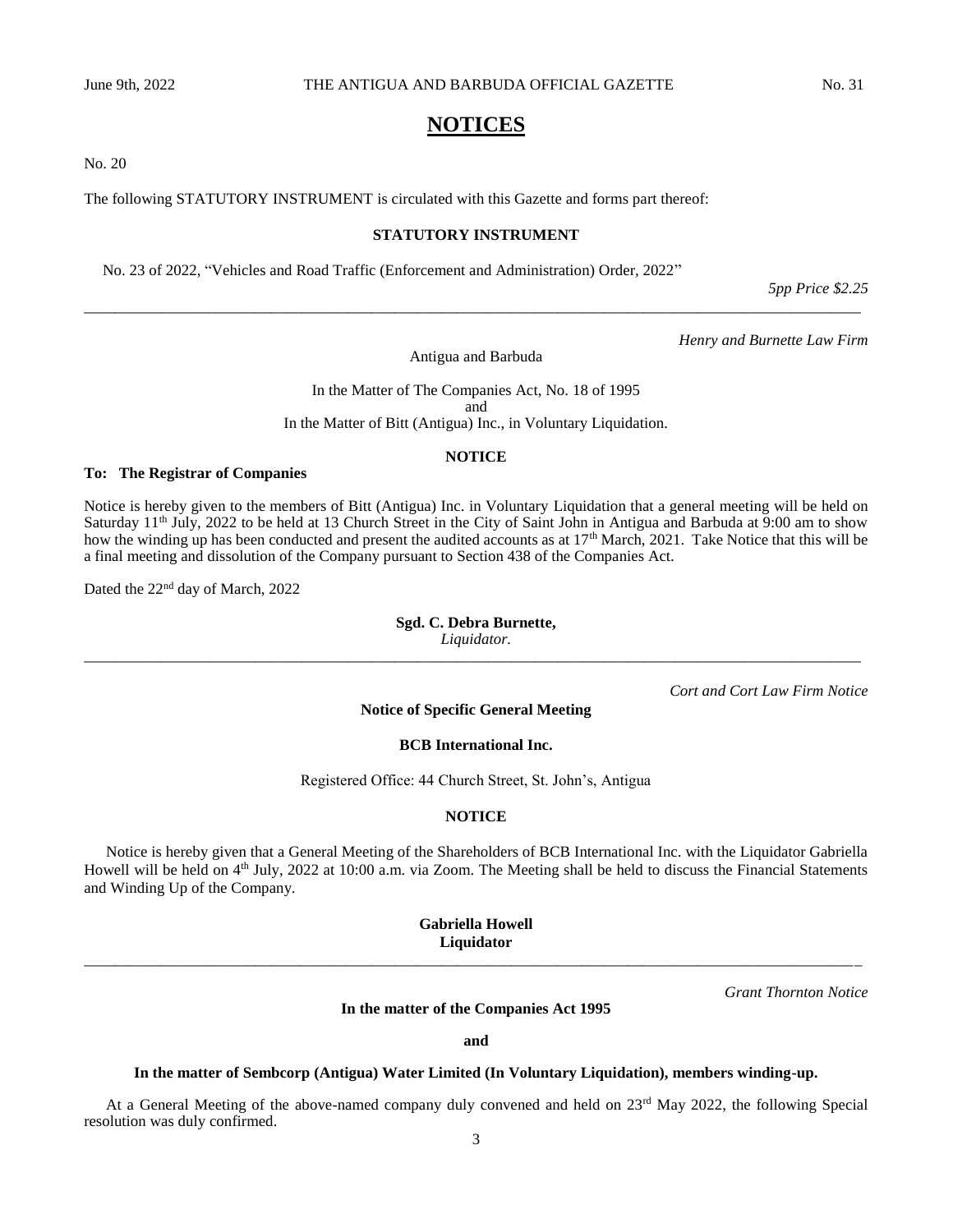# **NOTICES**

No. 20

The following STATUTORY INSTRUMENT is circulated with this Gazette and forms part thereof:

## **STATUTORY INSTRUMENT**

No. 23 of 2022, "Vehicles and Road Traffic (Enforcement and Administration) Order, 2022"

*5pp Price \$2.25*

*Henry and Burnette Law Firm*

Antigua and Barbuda

*\_\_\_\_\_\_\_\_\_\_\_\_\_\_\_\_\_\_\_\_\_\_\_\_\_\_\_\_\_\_\_\_\_\_\_\_\_\_\_\_\_\_\_\_\_\_\_\_\_\_\_\_\_\_\_\_\_\_\_\_\_\_\_\_\_\_\_\_\_\_\_\_\_\_\_\_\_\_\_\_\_\_\_\_\_\_\_\_\_\_\_\_\_\_\_\_\_\_\_\_*

In the Matter of The Companies Act, No. 18 of 1995 and In the Matter of Bitt (Antigua) Inc., in Voluntary Liquidation.

#### **NOTICE**

#### **To: The Registrar of Companies**

Notice is hereby given to the members of Bitt (Antigua) Inc. in Voluntary Liquidation that a general meeting will be held on Saturday 11<sup>th</sup> July, 2022 to be held at 13 Church Street in the City of Saint John in Antigua and Barbuda at 9:00 am to show how the winding up has been conducted and present the audited accounts as at 17<sup>th</sup> March, 2021. Take Notice that this will be a final meeting and dissolution of the Company pursuant to Section 438 of the Companies Act.

Dated the 22nd day of March, 2022

**Sgd. C. Debra Burnette,** *Liquidator. \_\_\_\_\_\_\_\_\_\_\_\_\_\_\_\_\_\_\_\_\_\_\_\_\_\_\_\_\_\_\_\_\_\_\_\_\_\_\_\_\_\_\_\_\_\_\_\_\_\_\_\_\_\_\_\_\_\_\_\_\_\_\_\_\_\_\_\_\_\_\_\_\_\_\_\_\_\_\_\_\_\_\_\_\_\_\_\_\_\_\_\_\_\_\_\_\_\_\_\_*

*Cort and Cort Law Firm Notice*

#### **Notice of Specific General Meeting**

### **BCB International Inc.**

Registered Office: 44 Church Street, St. John's, Antigua

#### **NOTICE**

Notice is hereby given that a General Meeting of the Shareholders of BCB International Inc. with the Liquidator Gabriella Howell will be held on 4<sup>th</sup> July, 2022 at 10:00 a.m. via Zoom. The Meeting shall be held to discuss the Financial Statements and Winding Up of the Company.

**Gabriella Howell Liquidator** *\_\_\_\_\_\_\_\_\_\_\_\_\_\_\_\_\_\_\_\_\_\_\_\_\_\_\_\_\_\_\_\_\_\_\_\_\_\_\_\_\_\_\_\_\_\_\_\_\_\_\_\_\_\_\_\_\_\_\_\_\_\_\_\_\_\_\_\_\_\_\_\_\_\_\_\_\_\_\_\_\_\_\_\_\_\_\_\_\_\_\_\_\_\_\_\_\_\_\_\_*

*Grant Thornton Notice*

# **In the matter of the Companies Act 1995**

**and**

#### **In the matter of Sembcorp (Antigua) Water Limited (In Voluntary Liquidation), members winding-up.**

At a General Meeting of the above-named company duly convened and held on 23rd May 2022, the following Special resolution was duly confirmed.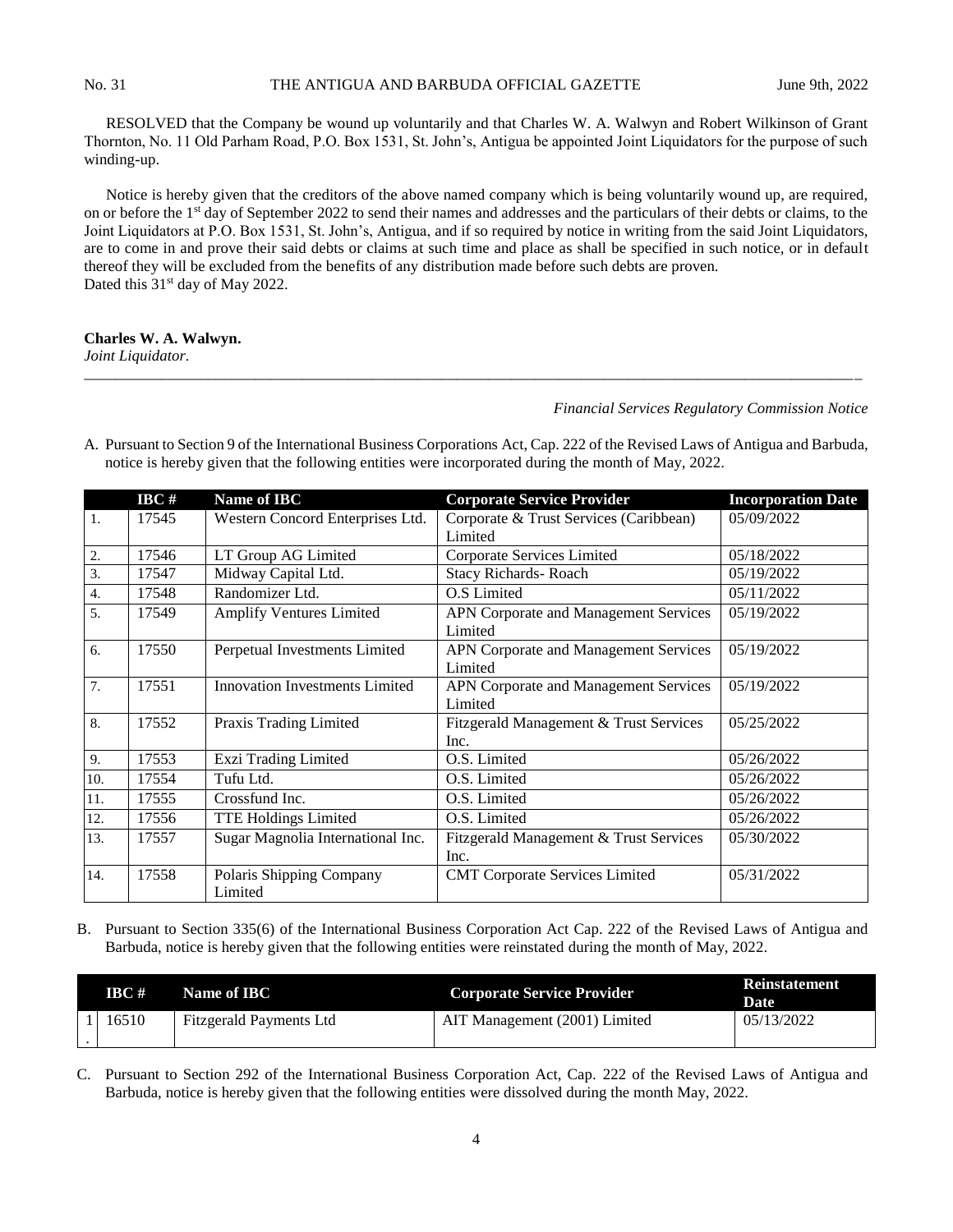RESOLVED that the Company be wound up voluntarily and that Charles W. A. Walwyn and Robert Wilkinson of Grant Thornton, No. 11 Old Parham Road, P.O. Box 1531, St. John's, Antigua be appointed Joint Liquidators for the purpose of such winding-up.

Notice is hereby given that the creditors of the above named company which is being voluntarily wound up, are required, on or before the 1st day of September 2022 to send their names and addresses and the particulars of their debts or claims, to the Joint Liquidators at P.O. Box 1531, St. John's, Antigua, and if so required by notice in writing from the said Joint Liquidators, are to come in and prove their said debts or claims at such time and place as shall be specified in such notice, or in default thereof they will be excluded from the benefits of any distribution made before such debts are proven. Dated this 31<sup>st</sup> day of May 2022.

#### **Charles W. A. Walwyn.**

*Joint Liquidator.*

#### *Financial Services Regulatory Commission Notice*

- **IBC # Name of IBC Corporate Service Provider Incorporation Date** 1. 17545 Western Concord Enterprises Ltd. Corporate & Trust Services (Caribbean) Limited 05/09/2022 2. 17546 LT Group AG Limited Corporate Services Limited 05/18/2022 3. 17547 Midway Capital Ltd. Stacy Richards- Roach 05/19/2022 4. 17548 Randomizer Ltd. O.S Limited 05/11/2022 5. 17549 Amplify Ventures Limited APN Corporate and Management Services Limited 05/19/2022 6. 17550 Perpetual Investments Limited APN Corporate and Management Services Limited 05/19/2022 7. 17551 Innovation Investments Limited APN Corporate and Management Services Limited 05/19/2022 8. 17552 Praxis Trading Limited Fitzgerald Management & Trust Services Inc. 05/25/2022 9. 17553 Exzi Trading Limited 0.S. Limited 0.5/26/2022 10. 17554 Tufu Ltd. O.S. Limited 05/26/2022 11. 17555 Crossfund Inc. O.S. Limited 05/26/2022 12. 17556 TTE Holdings Limited O.S. Limited 05/26/2022 13. 17557 Sugar Magnolia International Inc. Fitzgerald Management & Trust Services Inc. 05/30/2022 14. 17558 Polaris Shipping Company Limited CMT Corporate Services Limited 05/31/2022
- A. Pursuant to Section 9 of the International Business Corporations Act, Cap. 222 of the Revised Laws of Antigua and Barbuda, notice is hereby given that the following entities were incorporated during the month of May, 2022.

*\_\_\_\_\_\_\_\_\_\_\_\_\_\_\_\_\_\_\_\_\_\_\_\_\_\_\_\_\_\_\_\_\_\_\_\_\_\_\_\_\_\_\_\_\_\_\_\_\_\_\_\_\_\_\_\_\_\_\_\_\_\_\_\_\_\_\_\_\_\_\_\_\_\_\_\_\_\_\_\_\_\_\_\_\_\_\_\_\_\_\_\_\_\_\_\_\_\_\_\_*

B. Pursuant to Section 335(6) of the International Business Corporation Act Cap. 222 of the Revised Laws of Antigua and Barbuda, notice is hereby given that the following entities were reinstated during the month of May, 2022.

| IBC # | Name of <b>IBC</b>      | <b>Corporate Service Provider</b> | <b>Reinstatement</b><br>Date |
|-------|-------------------------|-----------------------------------|------------------------------|
| 16510 | Fitzgerald Payments Ltd | AIT Management (2001) Limited     | 05/13/2022                   |

C. Pursuant to Section 292 of the International Business Corporation Act, Cap. 222 of the Revised Laws of Antigua and Barbuda, notice is hereby given that the following entities were dissolved during the month May, 2022.